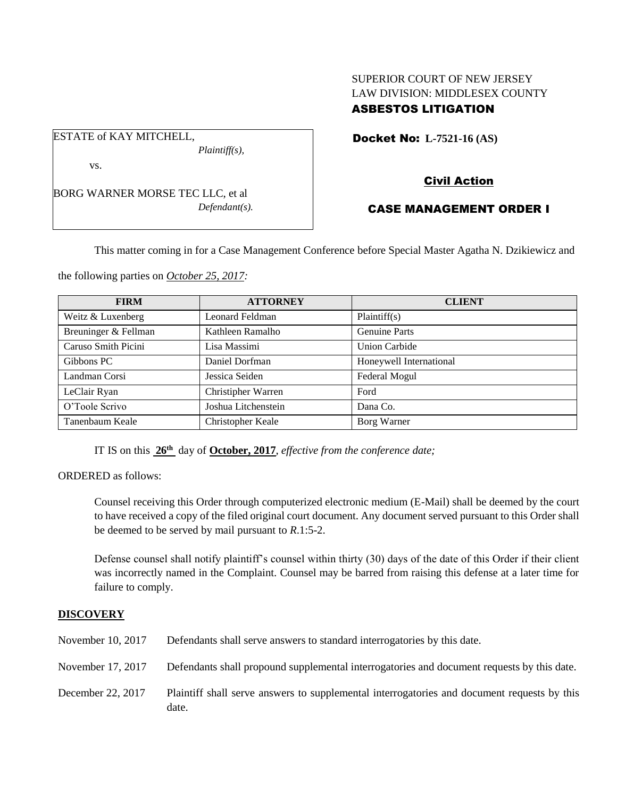## SUPERIOR COURT OF NEW JERSEY LAW DIVISION: MIDDLESEX COUNTY ASBESTOS LITIGATION

Docket No: **L-7521-16 (AS)** 

vs.

ESTATE of KAY MITCHELL,

BORG WARNER MORSE TEC LLC, et al *Defendant(s).*

*Plaintiff(s),*

# Civil Action

## CASE MANAGEMENT ORDER I

This matter coming in for a Case Management Conference before Special Master Agatha N. Dzikiewicz and

the following parties on *October 25, 2017:*

| <b>FIRM</b>          | <b>ATTORNEY</b>     | <b>CLIENT</b>           |
|----------------------|---------------------|-------------------------|
| Weitz & Luxenberg    | Leonard Feldman     | Plaintiff(s)            |
| Breuninger & Fellman | Kathleen Ramalho    | <b>Genuine Parts</b>    |
| Caruso Smith Picini  | Lisa Massimi        | <b>Union Carbide</b>    |
| Gibbons PC           | Daniel Dorfman      | Honeywell International |
| Landman Corsi        | Jessica Seiden      | Federal Mogul           |
| LeClair Ryan         | Christipher Warren  | Ford                    |
| O'Toole Scrivo       | Joshua Litchenstein | Dana Co.                |
| Tanenbaum Keale      | Christopher Keale   | Borg Warner             |

IT IS on this **26th** day of **October, 2017**, *effective from the conference date;*

ORDERED as follows:

Counsel receiving this Order through computerized electronic medium (E-Mail) shall be deemed by the court to have received a copy of the filed original court document. Any document served pursuant to this Order shall be deemed to be served by mail pursuant to *R*.1:5-2.

Defense counsel shall notify plaintiff's counsel within thirty (30) days of the date of this Order if their client was incorrectly named in the Complaint. Counsel may be barred from raising this defense at a later time for failure to comply.

### **DISCOVERY**

| November 10, 2017 | Defendants shall serve answers to standard interrogatories by this date.                             |
|-------------------|------------------------------------------------------------------------------------------------------|
| November 17, 2017 | Defendants shall propound supplemental interrogatories and document requests by this date.           |
| December 22, 2017 | Plaintiff shall serve answers to supplemental interrogatories and document requests by this<br>date. |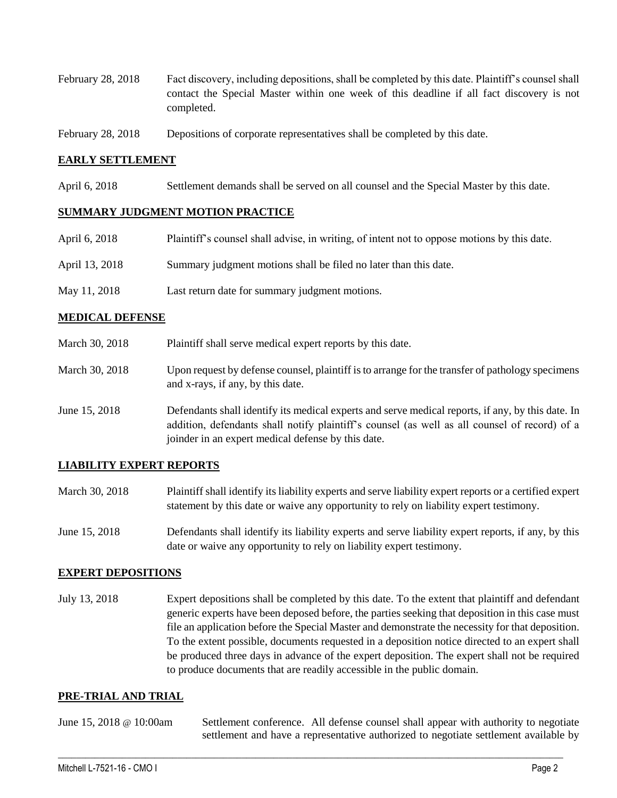- February 28, 2018 Fact discovery, including depositions, shall be completed by this date. Plaintiff's counsel shall contact the Special Master within one week of this deadline if all fact discovery is not completed.
- February 28, 2018 Depositions of corporate representatives shall be completed by this date.

### **EARLY SETTLEMENT**

April 6, 2018 Settlement demands shall be served on all counsel and the Special Master by this date.

### **SUMMARY JUDGMENT MOTION PRACTICE**

| April 6, 2018  | Plaintiff's counsel shall advise, in writing, of intent not to oppose motions by this date. |
|----------------|---------------------------------------------------------------------------------------------|
| April 13, 2018 | Summary judgment motions shall be filed no later than this date.                            |
| May 11, 2018   | Last return date for summary judgment motions.                                              |

### **MEDICAL DEFENSE**

- March 30, 2018 Plaintiff shall serve medical expert reports by this date.
- March 30, 2018 Upon request by defense counsel, plaintiff is to arrange for the transfer of pathology specimens and x-rays, if any, by this date.
- June 15, 2018 Defendants shall identify its medical experts and serve medical reports, if any, by this date. In addition, defendants shall notify plaintiff's counsel (as well as all counsel of record) of a joinder in an expert medical defense by this date.

### **LIABILITY EXPERT REPORTS**

- March 30, 2018 Plaintiff shall identify its liability experts and serve liability expert reports or a certified expert statement by this date or waive any opportunity to rely on liability expert testimony.
- June 15, 2018 Defendants shall identify its liability experts and serve liability expert reports, if any, by this date or waive any opportunity to rely on liability expert testimony.

### **EXPERT DEPOSITIONS**

July 13, 2018 Expert depositions shall be completed by this date. To the extent that plaintiff and defendant generic experts have been deposed before, the parties seeking that deposition in this case must file an application before the Special Master and demonstrate the necessity for that deposition. To the extent possible, documents requested in a deposition notice directed to an expert shall be produced three days in advance of the expert deposition. The expert shall not be required to produce documents that are readily accessible in the public domain.

#### **PRE-TRIAL AND TRIAL**

June 15, 2018 @ 10:00am Settlement conference. All defense counsel shall appear with authority to negotiate settlement and have a representative authorized to negotiate settlement available by

 $\_$  ,  $\_$  ,  $\_$  ,  $\_$  ,  $\_$  ,  $\_$  ,  $\_$  ,  $\_$  ,  $\_$  ,  $\_$  ,  $\_$  ,  $\_$  ,  $\_$  ,  $\_$  ,  $\_$  ,  $\_$  ,  $\_$  ,  $\_$  ,  $\_$  ,  $\_$  ,  $\_$  ,  $\_$  ,  $\_$  ,  $\_$  ,  $\_$  ,  $\_$  ,  $\_$  ,  $\_$  ,  $\_$  ,  $\_$  ,  $\_$  ,  $\_$  ,  $\_$  ,  $\_$  ,  $\_$  ,  $\_$  ,  $\_$  ,